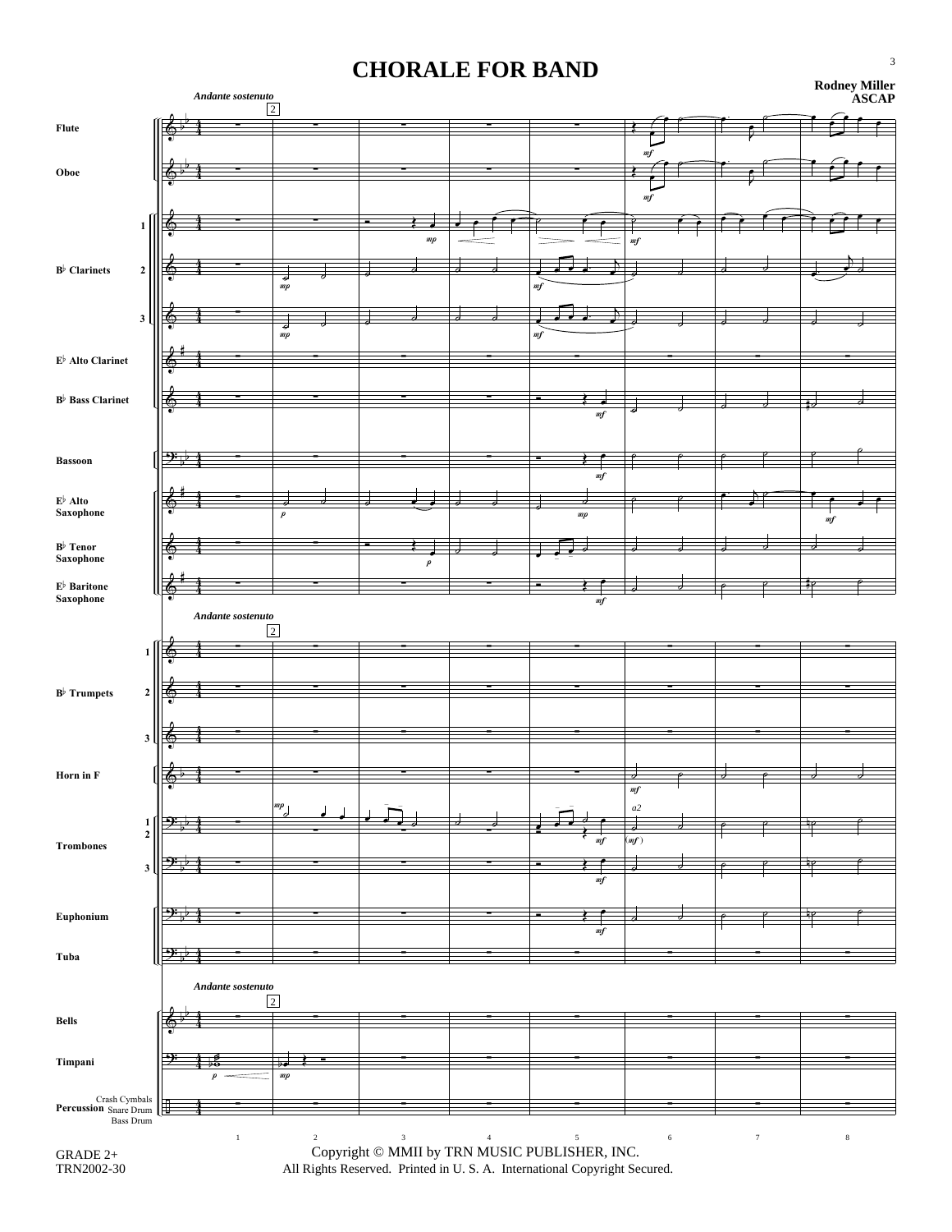## **CHORALE FOR BAND**

|                                                                                | CHORALD I ON DAIR<br>Andante sostenuto<br>$\boxed{2}$ |                      |                             |                  |                           |            |                                                                 |                           |        | Rodney Miller<br>ASCAP |
|--------------------------------------------------------------------------------|-------------------------------------------------------|----------------------|-----------------------------|------------------|---------------------------|------------|-----------------------------------------------------------------|---------------------------|--------|------------------------|
| Flute                                                                          |                                                       |                      |                             |                  |                           |            |                                                                 |                           |        |                        |
| Oboe                                                                           |                                                       |                      |                             |                  |                           |            |                                                                 | mf<br>m f                 |        |                        |
| $B^{\flat}$ Clarinets                                                          | $1\vert$<br>$\mathbf 2$                               |                      |                             | Ð<br>mp          | $\boldsymbol{m}$          |            | m f                                                             | o<br>mf                   |        |                        |
| $\mathbf{E}^\flat$ Alto Clarinet                                               | 3                                                     |                      |                             | $\frac{1}{mp}$   |                           |            | m f                                                             |                           |        |                        |
|                                                                                |                                                       |                      |                             |                  |                           |            |                                                                 |                           |        |                        |
| $\mathbf{B}^\flat$ Bass Clarinet                                               |                                                       | €                    |                             |                  |                           |            | $\it mf$                                                        |                           |        |                        |
| <b>Bassoon</b>                                                                 |                                                       | $\mathbf{P}$         |                             |                  |                           |            | m f                                                             |                           |        |                        |
| $\mathbf{E}^\flat$ Alto<br>$\begin{array}{lll} \textbf{Saxophone} \end{array}$ |                                                       |                      |                             | $\boldsymbol{p}$ |                           |            | ৶<br>$\mathfrak{m}p$                                            |                           |        | m f                    |
| $\mathbf{B}^\flat$ Tenor<br>Saxophone                                          |                                                       |                      |                             |                  | $\boldsymbol{p}$          |            |                                                                 |                           |        |                        |
| $E^{\flat}$ Baritone<br>$\begin{array}{lll} \textbf{Saxophone} \end{array}$    |                                                       |                      |                             |                  |                           |            | $m\!f$                                                          |                           |        |                        |
|                                                                                |                                                       |                      | Andante sostenuto           | $\overline{2}$   |                           |            |                                                                 |                           |        |                        |
| $\mathbf{B}^\flat$ Trumpets                                                    | $\mathbf{1}$<br>$\bf 2$                               |                      |                             |                  |                           |            |                                                                 |                           |        |                        |
|                                                                                | 3                                                     |                      |                             |                  |                           |            |                                                                 |                           |        |                        |
| Horn in F                                                                      | ٢l                                                    | $\overline{\bullet}$ |                             | mр               |                           |            |                                                                 | $\it mf$<br>$a\mathbf{2}$ |        |                        |
| <b>Trombones</b>                                                               | $\frac{1}{2}$<br>$\mathbf{3}$                         | $\cdot$<br>⊥⊉        |                             |                  |                           |            | m f<br>$\it mf$                                                 | mf)                       |        |                        |
| $E$ uphonium                                                                   |                                                       |                      |                             |                  |                           |            | m f                                                             |                           |        |                        |
| Tuba                                                                           |                                                       | $\cdot$ , $\cdot$    |                             |                  |                           |            |                                                                 |                           |        |                        |
| <b>Bells</b>                                                                   |                                                       |                      | Andante sostenuto           | $\overline{2}$   |                           |            |                                                                 |                           |        |                        |
| Timpani                                                                        |                                                       | -9                   | €<br>٠e<br>$\boldsymbol{p}$ | mp               |                           |            |                                                                 |                           |        |                        |
| Crash Cymbals<br><b>Bass Drum</b>                                              |                                                       |                      |                             |                  |                           |            |                                                                 |                           |        |                        |
| $CDADE2+$                                                                      |                                                       |                      | $\,1\,$                     | $\,2\,$          | $\ensuremath{\mathbf{3}}$ | $\sqrt{4}$ | $\overline{5}$<br>Copyright © MMII by TRN MUSIC PUBLISHER, INC. | $\sqrt{6}$                | $\tau$ | $\bf 8$                |

Copyright © MMII by TRN MUSIC PUBLISHER, INC. All Rights Reserved. Printed in U. S. A. International Copyright Secured.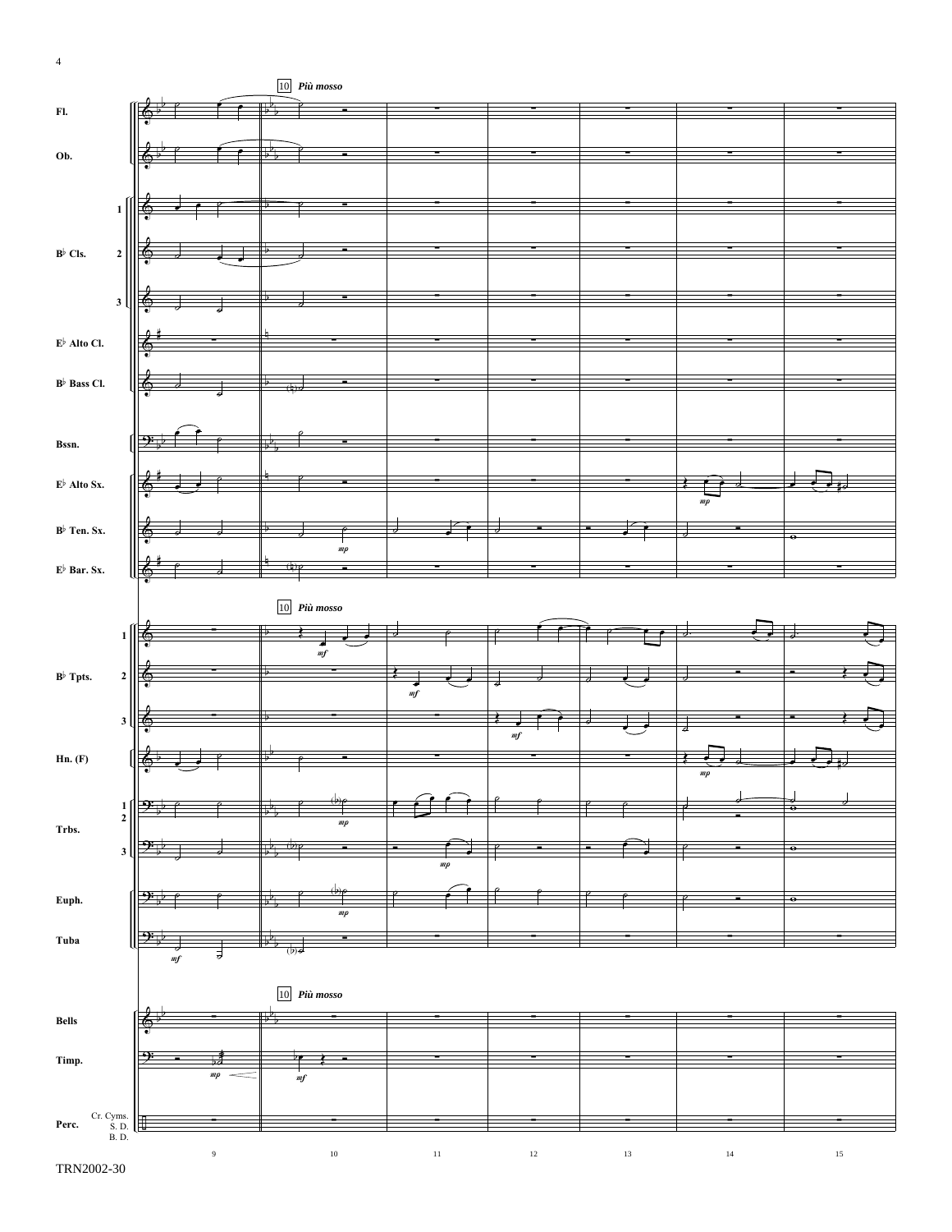

TRN2002-30

4